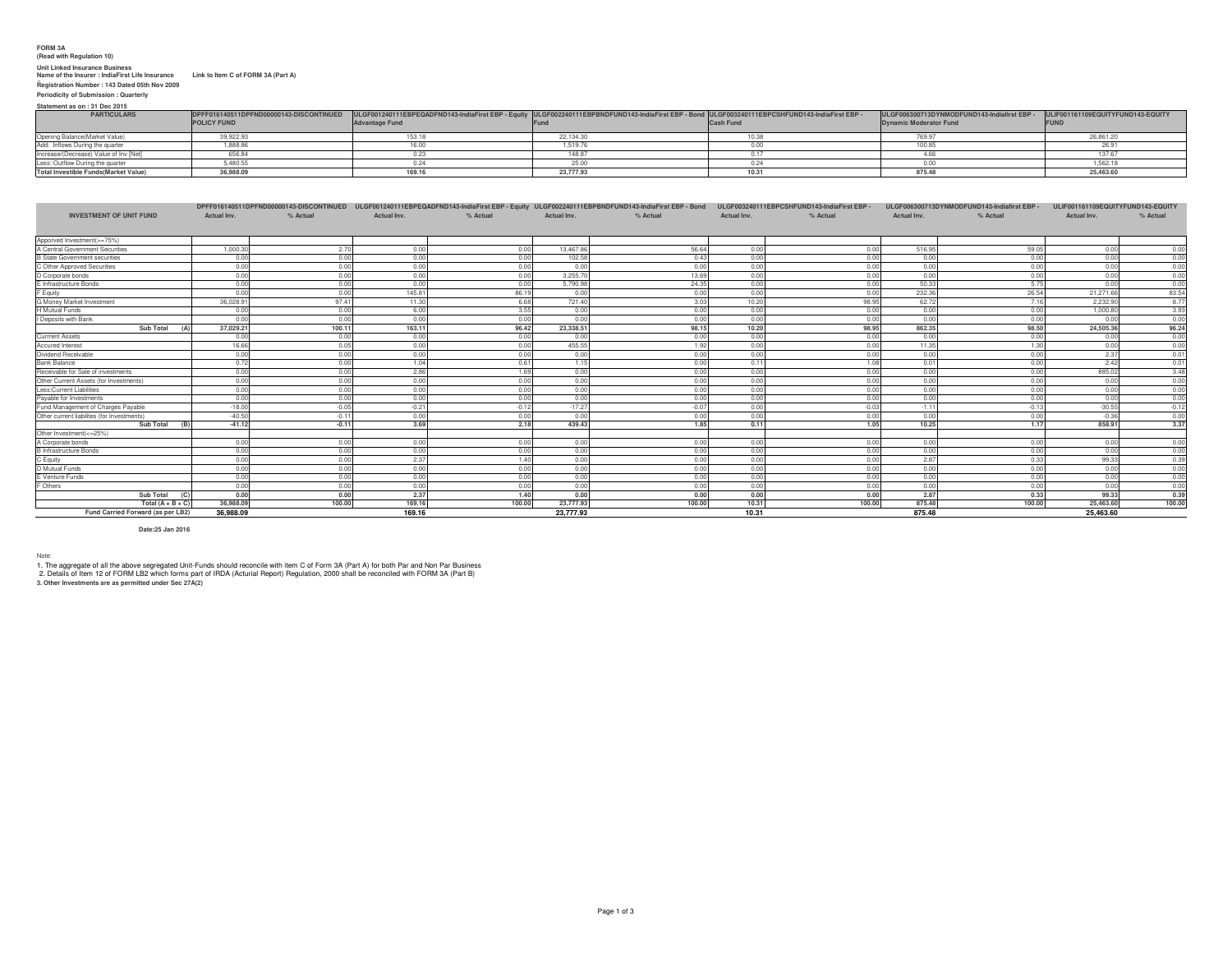## **FORM 3A (Read with Regulation 10)**

Unit Linked Insurance Business<br>Name of the Insurer : IndiaFirst Life Insurance Link to Item C of FORM 3A (Part A)<br>Registration Number : 143 Dated 05th Nov 2009

**Periodicity of Submission : Quarterly**

**Statement as on : 31 Dec 2015**

| <b>PARTICULARS</b>                          | DPFF016140511DPFND00000143-DISCONTINUED | - ULGF001240111EBPEQADFND143-IndiaFirst EBP - Equity  ULGF002240111EBPBNDFUND143-IndiaFirst EBP - Bond  ULGF003240111EBPCSHFUND143-IndiaFirst EBP - |           |                  | ULGF006300713DYNMODFUND143-Indiafirst EBP | ULIF001161109EQUITYFUND143-EQUITY |
|---------------------------------------------|-----------------------------------------|-----------------------------------------------------------------------------------------------------------------------------------------------------|-----------|------------------|-------------------------------------------|-----------------------------------|
|                                             | <b>POLICY FUND</b>                      | <b>Advantage Fund</b>                                                                                                                               |           | <b>Cash Fund</b> | <b>Dynamic Moderator Fund</b>             | IFUNI                             |
| Opening Balance(Market Value)               | 39.922.93                               |                                                                                                                                                     | 22.134.30 |                  |                                           |                                   |
| Add: Inflows During the quarter             | .888.8                                  | 100                                                                                                                                                 | 1.519     |                  |                                           |                                   |
| Increase/(Decrease) Value of Inv [Net]      | 656.8                                   |                                                                                                                                                     | 148.87    |                  |                                           | 137.67                            |
| Less: Outflow During the quarter            | 4805                                    |                                                                                                                                                     |           |                  |                                           | 562.18                            |
| <b>Total Investible Funds(Market Value)</b> | 36,988.09                               | 169                                                                                                                                                 | 23,777,93 |                  | 875.48                                    | 25,463.60                         |

|                                            |             |          | DPFF016140511DPFND00000143-DISCONTINUED ULGF001240111EBPEQADFND143-IndiaFirst EBP - Equity ULGF002240111EBPBNDFUND143-IndiaFirst EBP - Bond |          |             |          |             | ULGF003240111EBPCSHFUND143-IndiaFirst EBP - |             | ULGF006300713DYNMODFUND143-Indiafirst EBP | ULIF001161109EQUITYFUND143-EQUITY |          |
|--------------------------------------------|-------------|----------|---------------------------------------------------------------------------------------------------------------------------------------------|----------|-------------|----------|-------------|---------------------------------------------|-------------|-------------------------------------------|-----------------------------------|----------|
| <b>INVESTMENT OF UNIT FUND</b>             | Actual Inv. | % Actual | Actual Inv.                                                                                                                                 | % Actual | Actual Inv. | % Actual | Actual Inv. | % Actual                                    | Actual Inv. | % Actual                                  | Actual Inv.                       | % Actual |
|                                            |             |          |                                                                                                                                             |          |             |          |             |                                             |             |                                           |                                   |          |
| Apporved Investment(>=75%)                 |             |          |                                                                                                                                             |          |             |          |             |                                             |             |                                           |                                   |          |
| A Central Government Securities            | 1.000.30    | 2.70     | 0.00                                                                                                                                        | 0.00     | 13.467.86   | 56.64    | 0.00        | 0.00                                        | 516.95      | 59.05                                     | 0.00                              | 0.00     |
| <b>B</b> State Government securities       | 0.00        | 0.00     | 0.00                                                                                                                                        | 0.00     | 102.58      | 0.43     | 0.00        | 0.00                                        | 0.00        | 0.00                                      | 0.00                              | 0.00     |
| C Other Approved Securities                | 0.00        | 0.00     | 0.00                                                                                                                                        | 0.00     | 0.00        | 0.00     | 0.00        | 0.00                                        | 0.00        | 0.00                                      | 0.00                              | 0.00     |
| D Corporate bonds                          | 0.00        | 0.00     | 0.00                                                                                                                                        | 0.00     | 3.255.70    | 13.69    | 0.00        | 0.00                                        | 0.00        | 0.00                                      | 0.00                              | 0.00     |
| E Infrastructure Bonds                     | 0.00        | 0.00     | 0.00                                                                                                                                        | 0.00     | 5,790.98    | 24.35    | 0.00        | 0.00                                        | 50.33       | 5.75                                      | 0.00                              | 0.00     |
| F Equity                                   | 0.00        | 0.00     | 145.81                                                                                                                                      | 86.19    | 0.00        | 0.00     | 0.00        | 0.00                                        | 232.36      | 26.54                                     | 21,271.66                         | 83.54    |
| G Money Market Investment                  | 36,028.9    | 97.41    | 11.30                                                                                                                                       | 6.68     | 721.40      | 3.03     | 10.20       | 98.95                                       | 62.72       | 7.16                                      | 2.232.90                          | 8.77     |
| <b>H</b> Mutual Funds                      | 0.00        | 0.00     | 6.00                                                                                                                                        | 3.55     | 0.00        | 0.00     | 0.00        | 0.00                                        | 0.00        | 0.00                                      | 1.000.80                          | 3.93     |
| I Deposits with Bank                       | 0.00        | 0.00     | 0.00                                                                                                                                        | 0.00     | 0.00        | 0.00     | 0.00        | 0.00                                        | 0.00        | 0.00                                      | 0.00                              | 0.00     |
| Sub Total                                  | 37,029.2    | 100.11   | 163.11                                                                                                                                      | 96.42    | 23,338.51   | 98.15    | 10.20       | 98.95                                       | 862.35      | 98.50                                     | 24,505.36                         | 96.24    |
| <b>Currrent Assets</b>                     | 0.00        | 0.00     | 0.00                                                                                                                                        | 0.00     | 0.00        | 0.00     | 0.00        | 0.00                                        | 0.00        | 0.00                                      | 0.00                              | 0.00     |
| <b>Accured Interest</b>                    | 16.66       | 0.05     | 0.00                                                                                                                                        | 0.00     | 455.55      | 1.92     | 0.00        | 0.00                                        | 11.35       | 1.30                                      | 0.00                              | 0.00     |
| Dividend Receivable                        | 0.00        | 0.00     | 0.00                                                                                                                                        | 0.00     | 0.00        | 0.00     | 0.00        | 0.00                                        | 0.00        | 0.00                                      | 2.37                              | 0.01     |
| Bank Balance                               | 0.72        | 0.00     | 1.04                                                                                                                                        | 0.61     | 1.15        | 0.00     | 0.11        | 1.08                                        | 0.01        | 0.00                                      | 2.42                              | 0.01     |
| Receivable for Sale of investments         | 0.00        | 0.00     | 2.86                                                                                                                                        | 1.69     | 0.00        | 0.00     | 0.00        | 0.00                                        | 0.00        | 0.00                                      | 885.02                            | 3.48     |
| Other Current Assets (for Investments)     | 0.00        | 0.00     | 0.00                                                                                                                                        | 0.00     | 0.00        | 0.00     | 0.00        | 0.00                                        | 0.00        | 0.00                                      | 0.00                              | 0.00     |
| Less:Current Liabilities                   | 0.00        | 0.00     | 0.00                                                                                                                                        | 0.00     | 0.00        | 0.00     | 0.00        | 0.00                                        | 0.00        | 0.00                                      | 0.00                              | 0.00     |
| Pavable for Investments                    | 0.00        | 0.00     | 0.00                                                                                                                                        | 0.00     | 0.00        | 0.00     | 0.00        | 0.00                                        | 0.00        | 0.00                                      | 0.00                              | 0.00     |
| Fund Management of Charges Pavable         | $-18.00$    | $-0.05$  | $-0.21$                                                                                                                                     | $-0.12$  | $-17.27$    | $-0.07$  | 0.00        | $-0.03$                                     | $-1.11$     | $-0.13$                                   | $-30.55$                          | $-0.12$  |
| Other current liabilites (for Investments) | $-40.50$    | $-0.11$  | 0.00                                                                                                                                        | 0.00     | 0.00        | 0.00     | 0.00        | 0.00                                        | 0.00        | 0.00                                      | $-0.36$                           | 0.00     |
| Sub Total                                  | $-41.12$    | $-0.11$  | 3.69                                                                                                                                        | 2.18     | 439.43      | 1.85     | 0.11        | 1.05                                        | 10.25       | 1.17                                      | 858.91                            | 3.37     |
| Other Investment(<=25%)                    |             |          |                                                                                                                                             |          |             |          |             |                                             |             |                                           |                                   |          |
| A Corporate bonds                          | 0.00        | 0.00     | 0.00                                                                                                                                        | 0.00     | 0.00        | 0.00     | 0.00        | 0.00                                        | 0.00        | 0.00                                      | 0.00                              | 0.00     |
| <b>B</b> Infrastructure Bonds              | 0.00        | 0.00     | 0.00                                                                                                                                        | 0.00     | 0.00        | 0.00     | 0.00        | 0.00                                        | 0.00        | 0.00                                      | 0.00                              | 0.00     |
| C Equity                                   | 0.00        | 0.00     | 2.37                                                                                                                                        | 1.40     | 0.00        | 0.00     | 0.00        | 0.00                                        | 2.87        | 0.33                                      | 99.33                             | 0.39     |
| D Mutual Funds                             | 0.00        | 0.00     | 0.00                                                                                                                                        | 0.00     | 0.00        | 0.00     | 0.00        | 0.00                                        | 0.00        | 0.00                                      | 0.00                              | 0.00     |
| E Venture Funds                            | 0.00        | 0.00     | 0.00                                                                                                                                        | 0.00     | 0.00        | 0.00     | 0.00        | 0.00                                        | 0.00        | 0.00                                      | 0.00                              | 0.00     |
| F Others                                   | 0.00        | 0.00     | 0.00                                                                                                                                        | 0.00     | 0.00        | 0.00     | 0.00        | 0.00                                        | 0.00        | 0.00                                      | 0.00                              | 0.00     |
| Sub Total<br>(C)                           | 0.00        | 0.00     | 2.37                                                                                                                                        | 1.40     | 0.00        | 0.00     | 0.00        | 0.00                                        | 2.87        | 0.33                                      | 99.33                             | 0.39     |
| Total $(A + B + C)$                        | 36,988.09   | 100.00   | 169.16                                                                                                                                      | 100.00   | 23,777,93   | 100.00   | 10.31       | 100.00                                      | 875.48      | 100.00                                    | 25,463.60                         | 100.00   |
| Fund Carried Forward (as per LB2)          | 36.988.09   |          | 169.16                                                                                                                                      |          | 23,777.93   |          | 10.31       |                                             | 875.48      |                                           | 25,463.60                         |          |

**Date:25 Jan 2016**

Note:<br>1. The aggregate of all the above segregated Unit-Funds should reconcile with item C of Form 3A (Part A) for both Par and Non Par Business<br>2. Details of Item 12 of FORM LB2 which forms part of IRDA (Acturial Report)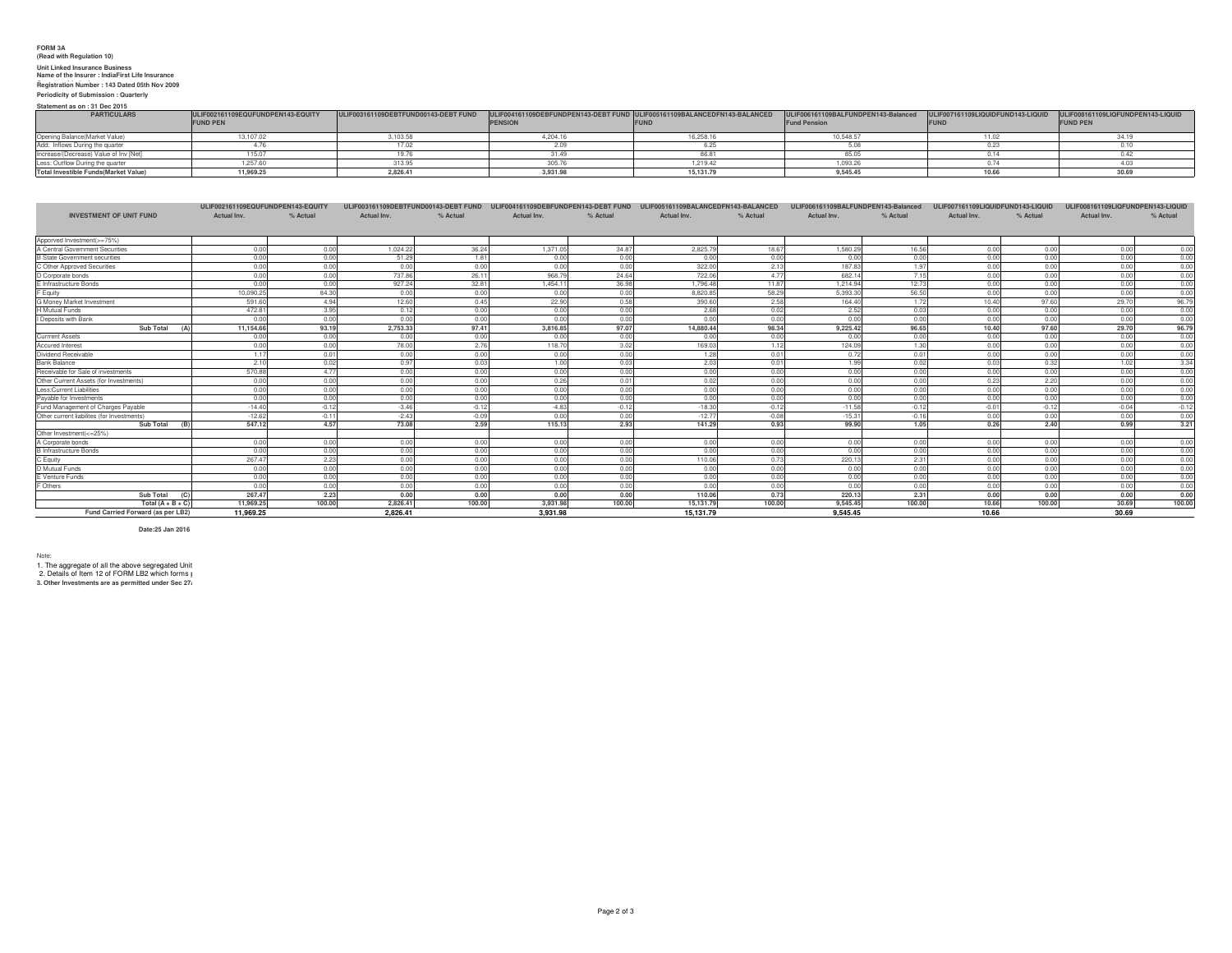## **FORM 3A (Read with Regulation 10) Unit Linked Insurance Business Name of the Insurer : IndiaFirst Life Insurance Company Limited Registration Number : 143 Dated 05th Nov 2009**

### **Periodicity of Submission : Quarterly**

**Statement as on : 31 Dec 2015**

| <b>PARTICULARS</b>                          | ULIF002161109EQUFUNDPEN143-EQUITY | ULIF003161109DEBTFUND00143-DEBT FUND ULIF004161109DEBFUNDPEN143-DEBT FUND ULIF005161109BALANCEDFN143-BALANCED |                |           | ULIF006161109BALFUNDPEN143-Balanced ULIF007161109LIQUIDFUND143-LIQUID ULIF008161109LIQFUNDPEN143-LIQUID |                 |
|---------------------------------------------|-----------------------------------|---------------------------------------------------------------------------------------------------------------|----------------|-----------|---------------------------------------------------------------------------------------------------------|-----------------|
|                                             | <b>FUND PEN</b>                   |                                                                                                               | <b>PENSIOI</b> |           | <b>Fund Pension</b>                                                                                     | <b>FUND PEN</b> |
| Opening Balance (Market Value)              | 13.107.02                         |                                                                                                               | 4.204.16       |           | 10.548.57                                                                                               |                 |
| Add: Inflows During the quarter             |                                   |                                                                                                               |                |           |                                                                                                         |                 |
| Increase/(Decrease) Value of Inv INet]      | 15.07                             |                                                                                                               |                |           | 850                                                                                                     |                 |
| Less: Outflow During the quarter            | .257.60                           |                                                                                                               |                | 1.219.42  | 1,093.2                                                                                                 |                 |
| <b>Total Investible Funds(Market Value)</b> | 11,969.25                         |                                                                                                               | 3.931.98       | 15,131,79 | 9,545.4                                                                                                 | 30.6            |

|                                            | ULIF002161109EQUFUNDPEN143-EQUITY |          | ULIF003161109DEBTFUND00143-DEBT FUND |          | ULIF004161109DEBFUNDPEN143-DEBT FUND |          | ULIF005161109BALANCEDFN143-BALANCED |          | ULIF006161109BALFUNDPEN143-Balanced |          | ULIF007161109LIQUIDFUND143-LIQUID |          | ULIF008161109LIQFUNDPEN143-LIQUID |          |
|--------------------------------------------|-----------------------------------|----------|--------------------------------------|----------|--------------------------------------|----------|-------------------------------------|----------|-------------------------------------|----------|-----------------------------------|----------|-----------------------------------|----------|
| <b>INVESTMENT OF UNIT FUND</b>             | Actual Inv.                       | % Actual | Actual Inv.                          | % Actual | Actual Inv.                          | % Actual | Actual Inv.                         | % Actual | Actual Inv.                         | % Actual | Actual Inv.                       | % Actual | Actual Inv.                       | % Actual |
|                                            |                                   |          |                                      |          |                                      |          |                                     |          |                                     |          |                                   |          |                                   |          |
| Apporved Investment(>=75%)                 |                                   |          |                                      |          |                                      |          |                                     |          |                                     |          |                                   |          |                                   |          |
| A Central Government Securities            | 0.00                              | 0.00     | 1.024.22                             | 36.24    | 1.371.05                             | 34.87    | 2.825.7                             | 18.67    | 1.580.29                            | 16.56    | 0.00                              | 0.00     | 0.00                              | 0.00     |
| <b>B State Government securities</b>       | 0.00                              | 0.00     | 51.29                                | 1.81     | 0.00                                 | 0.00     | 0.00                                | 0.00     | 0.00                                | 0.00     | 0.00                              | 0.00     | 0.00                              | 0.00     |
| C Other Approved Securities                | 0.00                              | 0.00     | 0.00                                 | 0.00     | 0.00                                 | 0.00     | 322.00                              | 2.13     | 187.83                              | 1.97     | 0.00                              | 0.00     | 0.00                              | 0.00     |
| D Corporate bonds                          | 0.00                              | 0.00     | 737.86                               | 26.11    | 968.79                               | 24.64    | 722.06                              | 4.77     | 682.14                              | 7.15     | 0.00                              | 0.00     | 0.00                              | 0.00     |
| E Infrastructure Bonds                     | 0.01                              | 0.00     | 927.24                               | 32.81    | 1.454.1                              | 36.98    | 1.796.48                            | 11.87    | 1.214.94                            | 12.73    | 0.00                              | 0.00     | 0.00                              | 0.00     |
| F Equity                                   | 10.090.2                          | 84.30    | 0.00                                 | 0.00     | 0.00                                 | 0.00     | 8.820.85                            | 58.29    | 5.393.3                             | 56.50    | 0.00                              | 0.00     | 0.00                              | 0.00     |
| G Money Market Investment                  | 591.6                             | 4.94     | 12.60                                | 0.45     | 22.90                                | 0.58     | 390.60                              | 2.58     | 164.40                              | 1.72     | 10.40                             | 97.60    | 29.70                             | 96.79    |
| H Mutual Funds                             | 472.81                            | 3.95     | 0.12                                 | 0.00     | 0.00                                 | 0.00     | 2.68                                | 0.02     | 2.52                                | 0.03     | 0.00                              | 0.00     | 0.00                              | 0.00     |
| I Deposits with Bank                       | 0.01                              | 0.00     | 0.00                                 | 0.00     | 0.00                                 | 0.00     | 0.00                                | 0.00     | 0.00                                | 0.00     | 0.00                              | 0.00     | 0.00                              | 0.00     |
| Sub Total                                  | 11.154.66                         | 93.19    | 2.753.33                             | 97.41    | 3.816.85                             | 97.07    | 14,880,44                           | 98.34    | 9.225.42                            | 96.65    | 10.40                             | 97.60    | 29.70                             | 96.79    |
| <b>Currrent Assets</b>                     | 0.00                              | 0.00     | 0.00                                 | 0.00     | 0.00                                 | 0.00     | 0.00                                | 0.00     | 0.00                                | 0.00     | 0.00                              | 0.00     | 0.00                              | 0.00     |
| <b>Accured Interest</b>                    | 0.00                              | 0.00     | 78.00                                | 2.76     | 118.70                               | 3.02     | 169.03                              | 1.12     | 124.09                              | 1.30     | 0.00                              | 0.00     | 0.00                              | 0.00     |
| Dividend Receivable                        | 1.1                               | 0.01     | 0.00                                 | 0.00     | 0.00                                 | 0.00     | 1.28                                | 0.01     | 0.72                                | 0.01     | 0.00                              | 0.00     | 0.00                              | 0.00     |
| <b>Bank Balance</b>                        | 2.10                              | 0.02     | 0.97                                 | 0.03     | 1.00                                 | 0.03     | 2.03                                | 0.01     | 1.99                                | 0.02     | 0.03                              | 0.32     | 1.02                              | 3.34     |
| Receivable for Sale of investments         | 570.88                            | 4.77     | 0.00                                 | 0.00     | 0.00                                 | 0.00     | 0.00                                | 0.00     | 0.00                                | 0.00     | 0.00                              | 0.00     | 0.00                              | 0.00     |
| Other Current Assets (for Investments)     | 0.00                              | 0.00     | 0.00                                 | 0.00     | 0.26                                 | 0.01     | 0.02                                | 0.00     | 0.00                                | 0.00     | 0.23                              | 2.20     | 0.00                              | 0.00     |
| Less:Current Liabilities                   | 0.00                              | 0.00     | 0.00                                 | 0.00     | 0.00                                 | 0.00     | 0.00                                | 0.00     | 0.00                                | 0.00     | 0.00                              | 0.00     | 0.00                              | 0.00     |
| Pavable for Investments                    | 0.00                              | 0.00     | 0.00                                 | 0.00     | 0.00                                 | 0.00     | 0.00                                | 0.00     | 0.00                                | 0.00     | 0.00                              | 0.00     | 0.00                              | 0.00     |
| Fund Management of Charges Pavable         | $-14.40$                          | $-0.12$  | $-3.46$                              | $-0.12$  | $-4.83$                              | $-0.12$  | $-18.30$                            | $-0.12$  | $-11.58$                            | $-0.12$  | $-0.01$                           | $-0.12$  | $-0.04$                           | $-0.12$  |
| Other current liabilites (for Investments) | $-12.62$                          | $-0.11$  | $-2.43$                              | $-0.09$  | 0.00                                 | 0.00     | $-12.77$                            | $-0.08$  | $-15.31$                            | $-0.16$  | 0.00                              | 0.00     | 0.00                              | 0.00     |
| Sub Total                                  | 547.12                            | 4.57     | 73.08                                | 2.59     | 115.13                               | 2.93     | 141.29                              | 0.93     | 99.90                               | 1.05     | 0.26                              | 2.40     | 0.99                              | 3.21     |
| Other Investment(<=25%)                    |                                   |          |                                      |          |                                      |          |                                     |          |                                     |          |                                   |          |                                   |          |
| A Corporate bonds                          | 0.00                              | 0.00     | 0.00                                 | 0.00     | 0.00                                 | 0.00     | 0.00                                | 0.00     | 0.00                                | 0.00     | 0.00                              | 0.00     | 0.00                              | 0.00     |
| <b>B</b> Infrastructure Bonds              | 0.00                              | 0.00     | 0.00                                 | 0.00     | 0.00                                 | 0.00     | 0.00                                | 0.00     | 0.00                                | 0.00     | 0.00                              | 0.00     | 0.00                              | 0.00     |
| C Equity                                   | 267.4                             | 2.23     | 0.00                                 | 0.00     | 0.00                                 | 0.00     | 110.06                              | 0.73     | 220.1                               | 2.31     | 0.00                              | 0.00     | 0.00                              | 0.00     |
| D Mutual Funds                             | 0.00                              | 0.00     | 0.00                                 | 0.00     | 0.00                                 | 0.00     | 0.00                                | 0.00     | 0.00                                | 0.00     | 0.00                              | 0.00     | 0.00                              | 0.00     |
| E Venture Funds                            | 0.00                              | 0.00     | 0.00                                 | 0.00     | 0.00                                 | 0.00     | 0.00                                | 0.00     | 0.00                                | 0.00     | 0.00                              | 0.00     | 0.00                              | 0.00     |
| F Others                                   | 0.01                              | 0.00     | 0.00                                 | 0.00     | 0.00                                 | 0.00     | 0.00                                | 0.00     | 0.00                                | 0.00     | 0.00                              | 0.00     | 0.00                              | 0.00     |
| Sub Total                                  | 267.4                             | 2.23     | 0.00                                 | 0.00     | 0.00                                 | 0.00     | 110.06                              | 0.73     | 220.13                              | 2.31     | 0.00                              | 0.00     | 0.00                              | 0.00     |
| Total $(A + B + C)$                        | 11,969.2                          | 100.00   | 2.826.41                             | 100.00   | 3.931.98                             | 100.00   | 15.131.7                            | 100.00   | 9,545.45                            | 100.00   | 10.66                             | 100.00   | 30.69                             | 100.00   |
| Fund Carried Forward (as per LB2)          | 11.969.25                         |          | 2.826.41                             |          | 3.931.98                             |          | 15.131.79                           |          | 9.545.45                            |          | 10.66                             |          | 30.69                             |          |

**Date:25 Jan 2016**

Note:<br>1. The aggregate of all the above segregated Unit<br>2. Details of Item 12 of FORM LB2 which forms <sub>1</sub><br>3. Other Investments are as permitted under Sec 27.